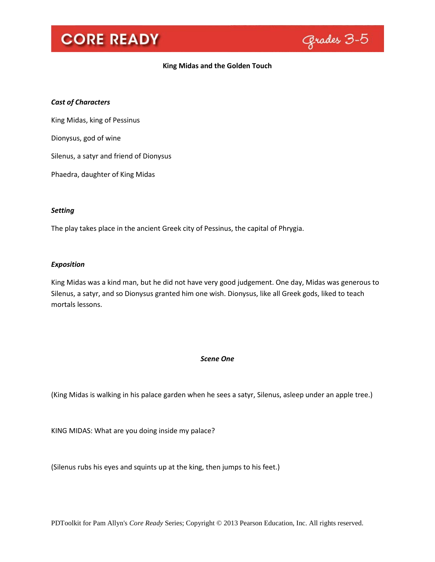

### **King Midas and the Golden Touch**

### *Cast of Characters*

King Midas, king of Pessinus

Dionysus, god of wine

Silenus, a satyr and friend of Dionysus

Phaedra, daughter of King Midas

### *Setting*

The play takes place in the ancient Greek city of Pessinus, the capital of Phrygia.

### *Exposition*

King Midas was a kind man, but he did not have very good judgement. One day, Midas was generous to Silenus, a satyr, and so Dionysus granted him one wish. Dionysus, like all Greek gods, liked to teach mortals lessons.

### *Scene One*

(King Midas is walking in his palace garden when he sees a satyr, Silenus, asleep under an apple tree.)

KING MIDAS: What are you doing inside my palace?

(Silenus rubs his eyes and squints up at the king, then jumps to his feet.)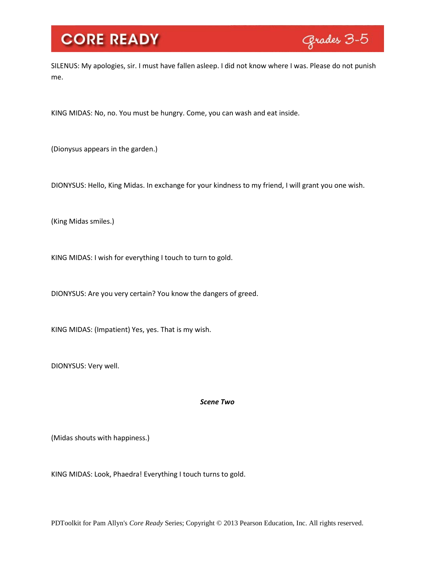

SILENUS: My apologies, sir. I must have fallen asleep. I did not know where I was. Please do not punish me.

KING MIDAS: No, no. You must be hungry. Come, you can wash and eat inside.

(Dionysus appears in the garden.)

DIONYSUS: Hello, King Midas. In exchange for your kindness to my friend, I will grant you one wish.

(King Midas smiles.)

KING MIDAS: I wish for everything I touch to turn to gold.

DIONYSUS: Are you very certain? You know the dangers of greed.

KING MIDAS: (Impatient) Yes, yes. That is my wish.

DIONYSUS: Very well.

*Scene Two*

(Midas shouts with happiness.)

KING MIDAS: Look, Phaedra! Everything I touch turns to gold.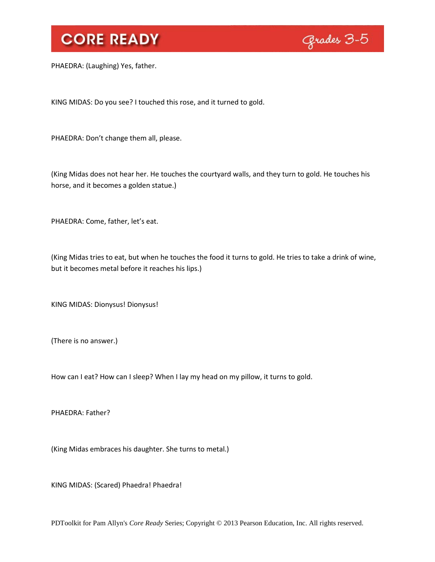

PHAEDRA: (Laughing) Yes, father.

KING MIDAS: Do you see? I touched this rose, and it turned to gold.

PHAEDRA: Don't change them all, please.

(King Midas does not hear her. He touches the courtyard walls, and they turn to gold. He touches his horse, and it becomes a golden statue.)

PHAEDRA: Come, father, let's eat.

(King Midas tries to eat, but when he touches the food it turns to gold. He tries to take a drink of wine, but it becomes metal before it reaches his lips.)

KING MIDAS: Dionysus! Dionysus!

(There is no answer.)

How can I eat? How can I sleep? When I lay my head on my pillow, it turns to gold.

PHAEDRA: Father?

(King Midas embraces his daughter. She turns to metal.)

KING MIDAS: (Scared) Phaedra! Phaedra!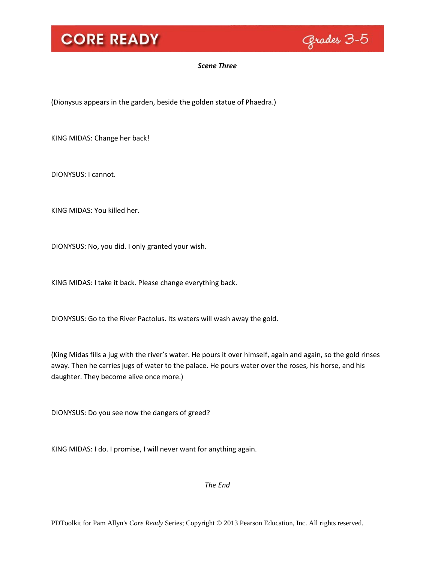

### *Scene Three*

(Dionysus appears in the garden, beside the golden statue of Phaedra.)

KING MIDAS: Change her back!

DIONYSUS: I cannot.

KING MIDAS: You killed her.

DIONYSUS: No, you did. I only granted your wish.

KING MIDAS: I take it back. Please change everything back.

DIONYSUS: Go to the River Pactolus. Its waters will wash away the gold.

(King Midas fills a jug with the river's water. He pours it over himself, again and again, so the gold rinses away. Then he carries jugs of water to the palace. He pours water over the roses, his horse, and his daughter. They become alive once more.)

DIONYSUS: Do you see now the dangers of greed?

KING MIDAS: I do. I promise, I will never want for anything again.

*The End*

PDToolkit for Pam Allyn's *Core Ready* Series; Copyright © 2013 Pearson Education, Inc. All rights reserved.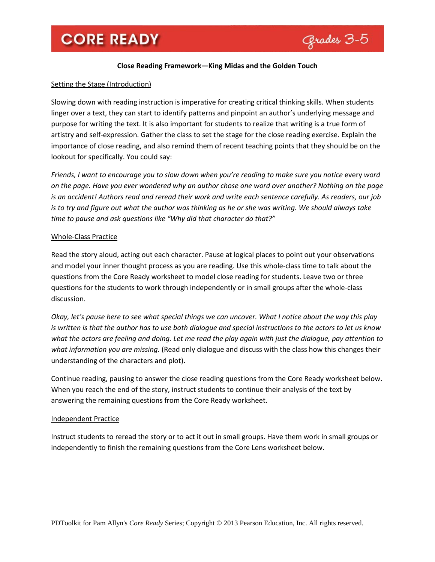

### **Close Reading Framework—King Midas and the Golden Touch**

### Setting the Stage (Introduction)

Slowing down with reading instruction is imperative for creating critical thinking skills. When students linger over a text, they can start to identify patterns and pinpoint an author's underlying message and purpose for writing the text. It is also important for students to realize that writing is a true form of artistry and self-expression. Gather the class to set the stage for the close reading exercise. Explain the importance of close reading, and also remind them of recent teaching points that they should be on the lookout for specifically. You could say:

*Friends, I want to encourage you to slow down when you're reading to make sure you notice* every *word on the page. Have you ever wondered why an author chose one word over another? Nothing on the page is an accident! Authors read and reread their work and write each sentence carefully. As readers, our job is to try and figure out what the author was thinking as he or she was writing. We should always take time to pause and ask questions like "Why did that character do that?"*

### Whole-Class Practice

Read the story aloud, acting out each character. Pause at logical places to point out your observations and model your inner thought process as you are reading. Use this whole-class time to talk about the questions from the Core Ready worksheet to model close reading for students. Leave two or three questions for the students to work through independently or in small groups after the whole-class discussion.

*Okay, let's pause here to see what special things we can uncover. What I notice about the way this play is written is that the author has to use both dialogue and special instructions to the actors to let us know what the actors are feeling and doing. Let me read the play again with just the dialogue, pay attention to what information you are missing.* (Read only dialogue and discuss with the class how this changes their understanding of the characters and plot).

Continue reading, pausing to answer the close reading questions from the Core Ready worksheet below. When you reach the end of the story, instruct students to continue their analysis of the text by answering the remaining questions from the Core Ready worksheet.

### Independent Practice

Instruct students to reread the story or to act it out in small groups. Have them work in small groups or independently to finish the remaining questions from the Core Lens worksheet below.